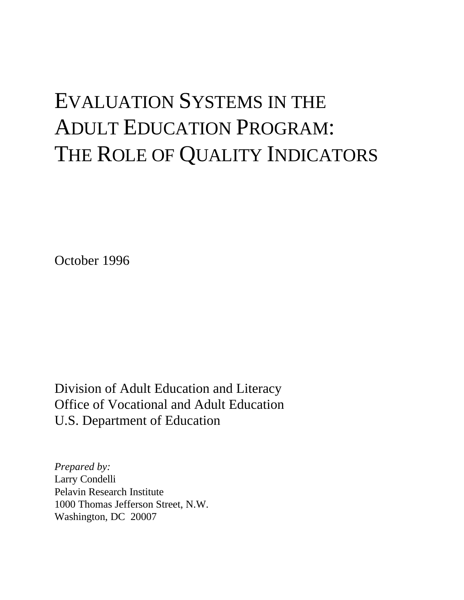# EVALUATION SYSTEMS IN THE ADULT EDUCATION PROGRAM: THE ROLE OF QUALITY INDICATORS

October 1996

Division of Adult Education and Literacy Office of Vocational and Adult Education U.S. Department of Education

*Prepared by:* Larry Condelli Pelavin Research Institute 1000 Thomas Jefferson Street, N.W. Washington, DC 20007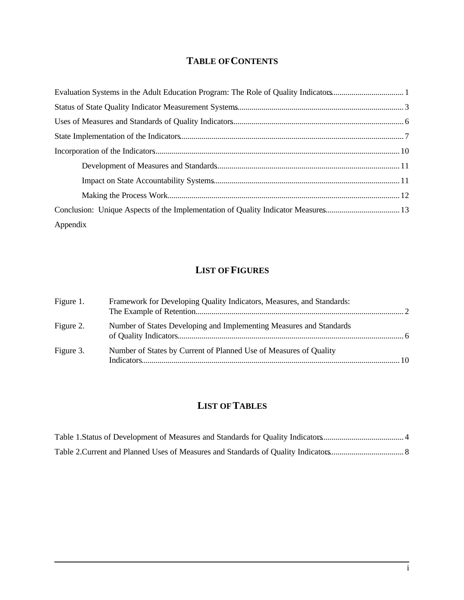# **TABLE OF CONTENTS**

| Appendix |
|----------|

# **LIST OF FIGURES**

| Figure 1. | Framework for Developing Quality Indicators, Measures, and Standards: |  |
|-----------|-----------------------------------------------------------------------|--|
| Figure 2. | Number of States Developing and Implementing Measures and Standards   |  |
| Figure 3. | Number of States by Current of Planned Use of Measures of Quality     |  |

# **LIST OF TABLES**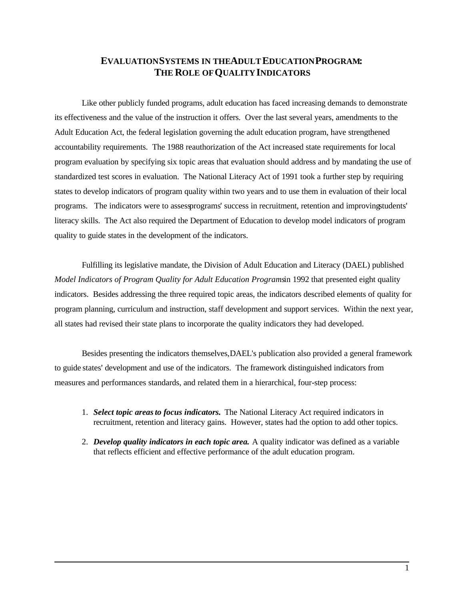# **EVALUATION SYSTEMS IN THE ADULT EDUCATION PROGRAM: THE ROLE OF QUALITY INDICATORS**

Like other publicly funded programs, adult education has faced increasing demands to demonstrate its effectiveness and the value of the instruction it offers. Over the last several years, amendments to the Adult Education Act, the federal legislation governing the adult education program, have strengthened accountability requirements. The 1988 reauthorization of the Act increased state requirements for local program evaluation by specifying six topic areas that evaluation should address and by mandating the use of standardized test scores in evaluation. The National Literacy Act of 1991 took a further step by requiring states to develop indicators of program quality within two years and to use them in evaluation of their local programs. The indicators were to assessprograms' success in recruitment, retention and improving students' literacy skills. The Act also required the Department of Education to develop model indicators of program quality to guide states in the development of the indicators.

Fulfilling its legislative mandate, the Division of Adult Education and Literacy (DAEL) published *Model Indicators of Program Quality for Adult Education Programsin* 1992 that presented eight quality indicators. Besides addressing the three required topic areas, the indicators described elements of quality for program planning, curriculum and instruction, staff development and support services. Within the next year, all states had revised their state plans to incorporate the quality indicators they had developed.

Besides presenting the indicators themselves, DAEL's publication also provided a general framework to guide states' development and use of the indicators. The framework distinguished indicators from measures and performances standards, and related them in a hierarchical, four-step process:

- 1. *Select topic areasto focus indicators.* The National Literacy Act required indicators in recruitment, retention and literacy gains. However, states had the option to add other topics.
- 2. *Develop quality indicators in each topic area.* A quality indicator was defined as a variable that reflects efficient and effective performance of the adult education program.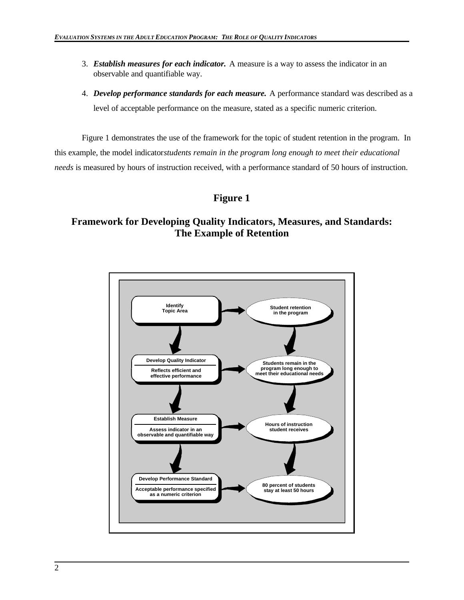- 3. *Establish measures for each indicator.* A measure is a way to assess the indicator in an observable and quantifiable way.
- 4. *Develop performance standards for each measure.* A performance standard was described as a level of acceptable performance on the measure, stated as a specific numeric criterion.

Figure 1 demonstrates the use of the framework for the topic of student retention in the program. In this example, the model indicator *students remain in the program long enough to meet their educational needs* is measured by hours of instruction received, with a performance standard of 50 hours of instruction.

# **Figure 1**

# **Framework for Developing Quality Indicators, Measures, and Standards: The Example of Retention**

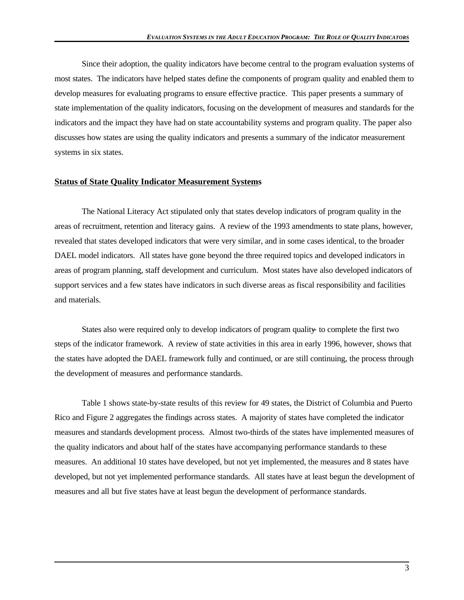Since their adoption, the quality indicators have become central to the program evaluation systems of most states. The indicators have helped states define the components of program quality and enabled them to develop measures for evaluating programs to ensure effective practice. This paper presents a summary of state implementation of the quality indicators, focusing on the development of measures and standards for the indicators and the impact they have had on state accountability systems and program quality. The paper also discusses how states are using the quality indicators and presents a summary of the indicator measurement systems in six states.

#### **Status of State Quality Indicator Measurement Systems**

The National Literacy Act stipulated only that states develop indicators of program quality in the areas of recruitment, retention and literacy gains. A review of the 1993 amendments to state plans, however, revealed that states developed indicators that were very similar, and in some cases identical, to the broader DAEL model indicators. All states have gone beyond the three required topics and developed indicators in areas of program planning, staff development and curriculum. Most states have also developed indicators of support services and a few states have indicators in such diverse areas as fiscal responsibility and facilities and materials.

States also were required only to develop indicators of program quality to complete the first two steps of the indicator framework. A review of state activities in this area in early 1996, however, shows that the states have adopted the DAEL framework fully and continued, or are still continuing, the process through the development of measures and performance standards.

Table 1 shows state-by-state results of this review for 49 states, the District of Columbia and Puerto Rico and Figure 2 aggregates the findings across states. A majority of states have completed the indicator measures and standards development process. Almost two-thirds of the states have implemented measures of the quality indicators and about half of the states have accompanying performance standards to these measures. An additional 10 states have developed, but not yet implemented, the measures and 8 states have developed, but not yet implemented performance standards. All states have at least begun the development of measures and all but five states have at least begun the development of performance standards.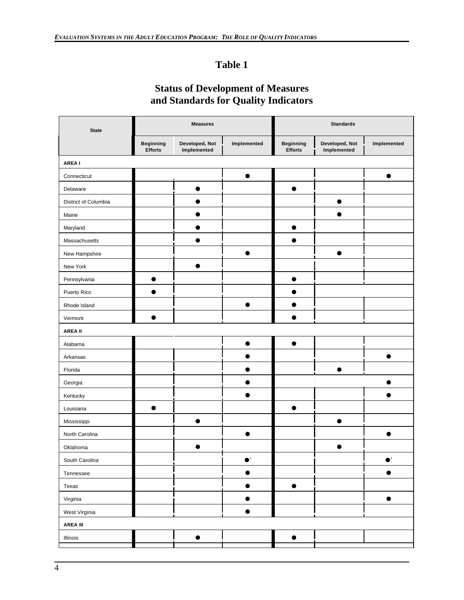# **Table 1**

# **Status of Development of Measures and Standards for Quality Indicators**

| <b>State</b>         |                                    | <b>Measures</b>               |                                             | <b>Standards</b>                   |                               |                                   |  |
|----------------------|------------------------------------|-------------------------------|---------------------------------------------|------------------------------------|-------------------------------|-----------------------------------|--|
|                      | <b>Beginning</b><br><b>Efforts</b> | Developed, Not<br>Implemented | Implemented                                 | <b>Beginning</b><br><b>Efforts</b> | Developed, Not<br>Implemented | Implemented                       |  |
| AREA I               |                                    |                               |                                             |                                    |                               |                                   |  |
| Connecticut          |                                    |                               | $\bullet$                                   |                                    |                               | $\bullet$                         |  |
| Delaware             |                                    | $\bullet$                     |                                             | $\bullet$                          |                               |                                   |  |
| District of Columbia |                                    | $\bullet$                     |                                             |                                    | $\bullet$                     |                                   |  |
| Maine                |                                    | ●                             |                                             |                                    | ●                             |                                   |  |
| Maryland             |                                    |                               |                                             |                                    |                               |                                   |  |
| Massachusetts        |                                    |                               |                                             |                                    |                               |                                   |  |
| New Hampshire        |                                    |                               |                                             |                                    | ●                             |                                   |  |
| New York             |                                    | $\bullet$                     |                                             |                                    |                               |                                   |  |
| Pennsylvania         | $\bullet$                          |                               |                                             | $\bullet$                          |                               |                                   |  |
| Puerto Rico          | $\bullet$                          |                               |                                             | $\bullet$                          |                               |                                   |  |
| Rhode Island         |                                    |                               |                                             |                                    |                               |                                   |  |
| Vermont              |                                    |                               |                                             |                                    |                               |                                   |  |
| <b>AREA II</b>       |                                    |                               |                                             |                                    |                               |                                   |  |
| Alabama              |                                    |                               | ●                                           | $\bullet$                          |                               |                                   |  |
| Arkansas             |                                    |                               |                                             |                                    |                               |                                   |  |
| Florida              |                                    |                               |                                             |                                    |                               |                                   |  |
| Georgia              |                                    |                               |                                             |                                    |                               |                                   |  |
| Kentucky             |                                    |                               |                                             |                                    |                               |                                   |  |
| Louisiana            | $\bullet$                          |                               |                                             |                                    |                               |                                   |  |
| Mississippi          |                                    | $\bullet$                     |                                             |                                    | $\bullet$                     |                                   |  |
| North Carolina       |                                    |                               | n                                           |                                    |                               |                                   |  |
| Oklahoma             |                                    | $\bullet$                     |                                             |                                    | $\bullet$                     |                                   |  |
| South Carolina       |                                    |                               | $\mathord{\bullet}^{\scriptscriptstyle{1}}$ |                                    |                               | $\bullet^{\scriptscriptstyle{1}}$ |  |
| Tennessee            |                                    |                               | $\bullet$                                   |                                    |                               | $\bullet$                         |  |
| Texas                |                                    |                               | $\bullet$                                   | $\bullet$                          |                               |                                   |  |
| Virginia             |                                    |                               | $\bullet$                                   |                                    |                               | $\bullet$                         |  |
| West Virginia        |                                    |                               | $\bullet$                                   |                                    |                               |                                   |  |
| <b>AREA III</b>      |                                    |                               |                                             |                                    |                               |                                   |  |
| Illinois             |                                    | $\bullet$                     |                                             | $\bullet$                          |                               |                                   |  |
|                      |                                    |                               |                                             |                                    |                               |                                   |  |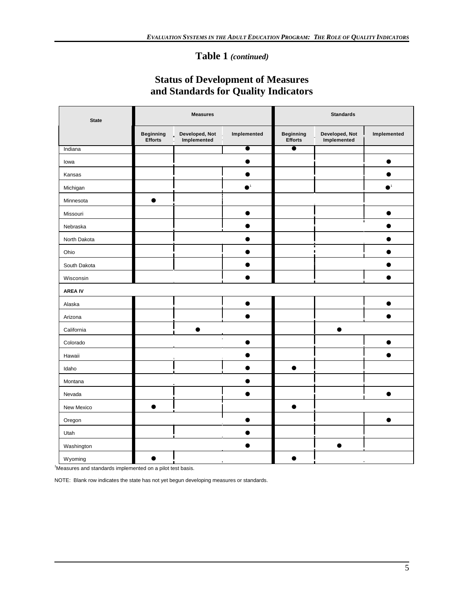# **Table 1** *(continued)*

# **Status of Development of Measures and Standards for Quality Indicators**

| <b>State</b>   |                                    | <b>Measures</b>               |             | <b>Standards</b>                   |                               |             |  |
|----------------|------------------------------------|-------------------------------|-------------|------------------------------------|-------------------------------|-------------|--|
|                | <b>Beginning</b><br><b>Efforts</b> | Developed, Not<br>Implemented | Implemented | <b>Beginning</b><br><b>Efforts</b> | Developed, Not<br>Implemented | Implemented |  |
| Indiana        |                                    |                               | $\bullet$   | $\bullet$                          |                               |             |  |
| lowa           |                                    |                               |             |                                    |                               |             |  |
| Kansas         |                                    |                               |             |                                    |                               |             |  |
| Michigan       |                                    |                               | $\bullet^1$ |                                    |                               | $\bullet^1$ |  |
| Minnesota      | $\bullet$                          |                               |             |                                    |                               |             |  |
| Missouri       |                                    |                               |             |                                    |                               |             |  |
| Nebraska       |                                    |                               |             |                                    |                               | Î           |  |
| North Dakota   |                                    |                               |             |                                    |                               |             |  |
| Ohio           |                                    |                               |             |                                    |                               |             |  |
| South Dakota   |                                    |                               |             |                                    |                               |             |  |
| Wisconsin      |                                    |                               |             |                                    |                               |             |  |
| <b>AREA IV</b> |                                    |                               |             |                                    |                               |             |  |
| Alaska         |                                    |                               |             |                                    |                               |             |  |
| Arizona        |                                    |                               |             |                                    |                               |             |  |
| California     |                                    |                               |             |                                    | ●                             |             |  |
| Colorado       |                                    |                               |             |                                    |                               |             |  |
| Hawaii         |                                    |                               |             |                                    |                               |             |  |
| Idaho          |                                    |                               |             | $\bullet$                          |                               |             |  |
| Montana        |                                    |                               |             |                                    |                               |             |  |
| Nevada         |                                    |                               |             |                                    |                               |             |  |
| New Mexico     | $\bullet$                          |                               |             | $\bullet$                          |                               |             |  |
| Oregon         |                                    |                               |             |                                    |                               | ●           |  |
| Utah           |                                    |                               |             |                                    |                               |             |  |
| Washington     |                                    |                               |             |                                    | $\bullet$                     |             |  |
| Wyoming        | $\bullet$                          |                               |             |                                    |                               |             |  |

1Measures and standards implemented on a pilot test basis.

NOTE: Blank row indicates the state has not yet begun developing measures or standards.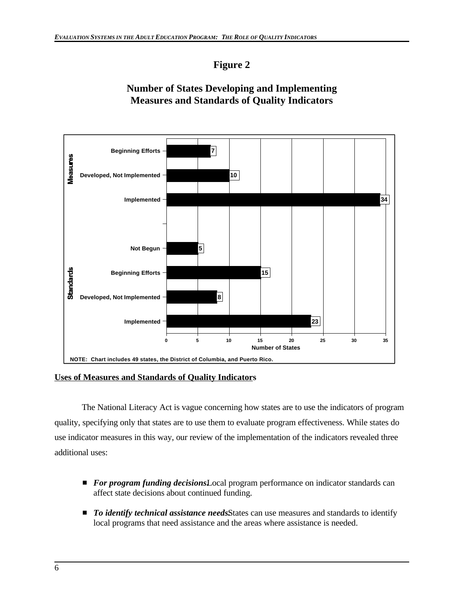# **Figure 2**

# **Number of States Developing and Implementing Measures and Standards of Quality Indicators**



**Uses of Measures and Standards of Quality Indicators**

The National Literacy Act is vague concerning how states are to use the indicators of program quality, specifying only that states are to use them to evaluate program effectiveness. While states do use indicator measures in this way, our review of the implementation of the indicators revealed three additional uses:

- *For program funding decisions*Local program performance on indicator standards can affect state decisions about continued funding.
- **T** *To identify technical assistance needs.* **States can use measures and standards to identify** local programs that need assistance and the areas where assistance is needed.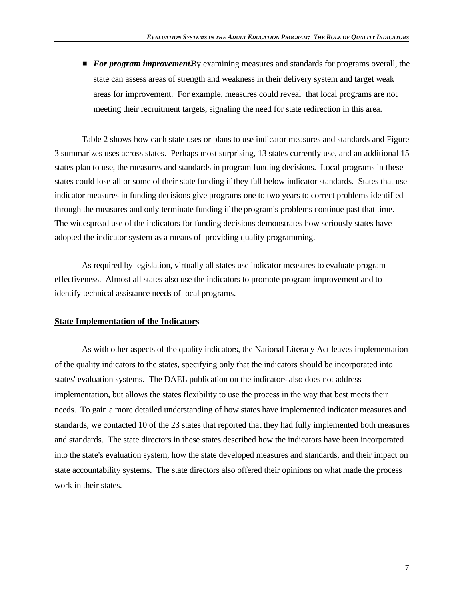**F** *For program improvement.* **By examining measures and standards for programs overall, the** state can assess areas of strength and weakness in their delivery system and target weak areas for improvement. For example, measures could reveal that local programs are not meeting their recruitment targets, signaling the need for state redirection in this area.

Table 2 shows how each state uses or plans to use indicator measures and standards and Figure 3 summarizes uses across states. Perhaps most surprising, 13 states currently use, and an additional 15 states plan to use, the measures and standards in program funding decisions. Local programs in these states could lose all or some of their state funding if they fall below indicator standards. States that use indicator measures in funding decisions give programs one to two years to correct problems identified through the measures and only terminate funding if the program's problems continue past that time. The widespread use of the indicators for funding decisions demonstrates how seriously states have adopted the indicator system as a means of providing quality programming.

As required by legislation, virtually all states use indicator measures to evaluate program effectiveness. Almost all states also use the indicators to promote program improvement and to identify technical assistance needs of local programs.

## **State Implementation of the Indicators**

As with other aspects of the quality indicators, the National Literacy Act leaves implementation of the quality indicators to the states, specifying only that the indicators should be incorporated into states' evaluation systems. The DAEL publication on the indicators also does not address implementation, but allows the states flexibility to use the process in the way that best meets their needs. To gain a more detailed understanding of how states have implemented indicator measures and standards, we contacted 10 of the 23 states that reported that they had fully implemented both measures and standards. The state directors in these states described how the indicators have been incorporated into the state's evaluation system, how the state developed measures and standards, and their impact on state accountability systems. The state directors also offered their opinions on what made the process work in their states.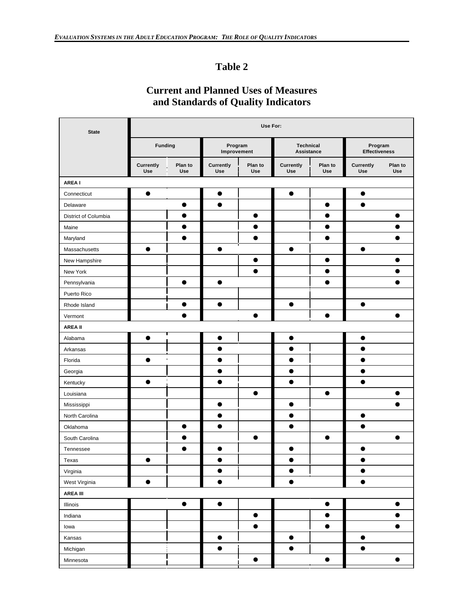# **Table 2**

# **Current and Planned Uses of Measures and Standards of Quality Indicators**

| <b>State</b>         | Use For:         |                |                         |                       |                                |                |                                 |                |
|----------------------|------------------|----------------|-------------------------|-----------------------|--------------------------------|----------------|---------------------------------|----------------|
|                      | <b>Funding</b>   |                | Program<br>Improvement  |                       | <b>Technical</b><br>Assistance |                | Program<br><b>Effectiveness</b> |                |
|                      | Currently<br>Use | Plan to<br>Use | <b>Currently</b><br>Use | Plan to<br><b>Use</b> | Currently<br><b>Use</b>        | Plan to<br>Use | Currently<br>Use                | Plan to<br>Use |
| <b>AREA I</b>        |                  |                |                         |                       |                                |                |                                 |                |
| Connecticut          | $\bullet$        |                | $\bullet$               |                       | $\bullet$                      |                | $\bullet$                       |                |
| Delaware             |                  | $\bullet$      | $\bullet$               |                       |                                | $\bullet$      | $\bullet$                       |                |
| District of Columbia |                  | $\bullet$      |                         | $\bullet$             |                                |                |                                 | 0              |
| Maine                |                  | $\bullet$      |                         | $\bullet$             |                                | $\bullet$      |                                 | ●              |
| Maryland             |                  |                |                         |                       |                                |                |                                 |                |
| Massachusetts        | $\bullet$        |                | $\bullet$               |                       | $\bullet$                      |                | $\bullet$                       |                |
| New Hampshire        |                  |                |                         | $\bullet$             |                                | $\bullet$      |                                 |                |
| New York             |                  |                |                         | $\bullet$             |                                | $\bullet$      |                                 |                |
| Pennsylvania         |                  | $\bullet$      |                         |                       |                                | $\bullet$      |                                 |                |
| Puerto Rico          |                  |                |                         |                       |                                |                |                                 |                |
| Rhode Island         |                  | $\bullet$      | $\bullet$               |                       | $\bullet$                      |                | $\bullet$                       |                |
| Vermont              |                  | $\bullet$      |                         | $\bullet$             |                                | $\bullet$      |                                 | $\bullet$      |
| <b>AREA II</b>       |                  |                |                         |                       |                                |                |                                 |                |
| Alabama              | $\bullet$        |                |                         |                       | $\bullet$                      |                |                                 |                |
| Arkansas             |                  |                | ●                       |                       | $\bullet$                      |                | œ                               |                |
| Florida              | $\bullet$        |                | ●                       |                       | $\bullet$                      |                |                                 |                |
| Georgia              |                  |                |                         |                       |                                |                | е.                              |                |
| Kentucky             | $\bullet$        |                |                         |                       | $\bullet$                      |                | ●                               |                |
| Louisiana            |                  |                |                         | $\bullet$             |                                | $\bullet$      |                                 | $\bullet$      |
| Mississippi          |                  |                | $\bullet$               |                       | $\bullet$                      |                |                                 |                |
| North Carolina       |                  |                |                         |                       |                                |                |                                 |                |
| Oklahoma             |                  | $\bullet$      | ●                       |                       | $\bullet$                      |                | ●                               |                |
| South Carolina       |                  | 0              |                         | 0                     |                                | $\bullet$      |                                 |                |
| Tennessee            |                  | $\bullet$      | $\bullet$               |                       | $\bullet$                      |                | $\bullet$                       |                |
| Texas                |                  |                |                         |                       |                                |                |                                 |                |
| Virginia             |                  |                | $\bullet$               |                       | $\bullet$                      |                | $\bullet$                       |                |
| West Virginia        | $\bullet$        |                | $\bullet$               |                       | $\bullet$                      |                | $\bullet$                       |                |
| <b>AREA III</b>      |                  |                |                         |                       |                                |                |                                 |                |
| Illinois             |                  | $\bullet$      | $\bullet$               |                       |                                | $\bullet$      |                                 | $\bullet$      |
| Indiana              |                  |                |                         | $\bullet$             |                                | $\bullet$      |                                 |                |
| lowa                 |                  |                |                         | $\bullet$             |                                | $\bullet$      |                                 | $\bullet$      |
| Kansas               |                  |                | $\bullet$               |                       | $\bullet$                      |                | $\bullet$                       |                |
| Michigan             |                  |                | $\bullet$               |                       | $\bullet$                      |                | $\bullet$                       |                |
| Minnesota            |                  |                |                         | $\bullet$             |                                | $\bullet$      |                                 | $\bullet$      |
|                      |                  |                |                         |                       |                                |                |                                 |                |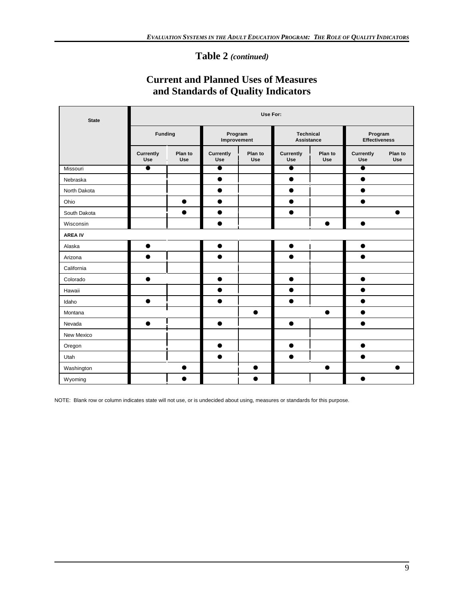# **Table 2** *(continued)*

# **Current and Planned Uses of Measures and Standards of Quality Indicators**

| <b>State</b>   | Use For:         |                       |                        |                |                                       |                       |                                 |                |  |
|----------------|------------------|-----------------------|------------------------|----------------|---------------------------------------|-----------------------|---------------------------------|----------------|--|
|                | <b>Funding</b>   |                       | Program<br>Improvement |                | <b>Technical</b><br><b>Assistance</b> |                       | Program<br><b>Effectiveness</b> |                |  |
|                | Currently<br>Use | Plan to<br><b>Use</b> | Currently<br>Use       | Plan to<br>Use | Currently<br>Use                      | Plan to<br><b>Use</b> | Currently<br>Use                | Plan to<br>Use |  |
| Missouri       | $\bullet$        |                       | $\bullet$              |                | $\bullet$                             |                       | $\bullet$                       |                |  |
| Nebraska       |                  |                       | $\bullet$              |                | $\bullet$                             |                       | $\bullet$                       |                |  |
| North Dakota   |                  |                       | $\bullet$              |                | $\bullet$                             |                       | $\bullet$                       |                |  |
| Ohio           |                  | $\bullet$             | $\bullet$              |                | $\bullet$                             |                       | ●                               |                |  |
| South Dakota   |                  | $\bullet$             | $\bullet$              |                | $\bullet$                             |                       |                                 |                |  |
| Wisconsin      |                  |                       | D                      |                |                                       | $\bullet$             | $\bullet$                       |                |  |
| <b>AREA IV</b> |                  |                       |                        |                |                                       |                       |                                 |                |  |
| Alaska         | $\bullet$        |                       | $\bullet$              |                | $\bullet$                             |                       | $\bullet$                       |                |  |
| Arizona        | $\bullet$        |                       | $\bullet$              |                | $\bullet$                             |                       | $\bullet$                       |                |  |
| California     |                  |                       |                        |                |                                       |                       |                                 |                |  |
| Colorado       | $\bullet$        |                       | $\bullet$              |                | $\bullet$                             |                       | $\bullet$                       |                |  |
| Hawaii         |                  |                       | $\bullet$              |                | $\bullet$                             |                       | ●                               |                |  |
| Idaho          | $\bullet$        |                       | $\bullet$              |                | $\bullet$                             |                       |                                 |                |  |
| Montana        |                  |                       |                        | $\bullet$      |                                       | $\bullet$             | $\bullet$                       |                |  |
| Nevada         | $\bullet$        |                       | $\bullet$              |                | $\bullet$                             |                       | $\bullet$                       |                |  |
| New Mexico     |                  |                       |                        |                |                                       |                       |                                 |                |  |
| Oregon         |                  |                       | $\bullet$              |                | $\bullet$                             |                       | $\bullet$                       |                |  |
| Utah           |                  |                       | $\bullet$              |                | ●                                     |                       | ●                               |                |  |
| Washington     |                  |                       |                        | $\bullet$      |                                       | ●                     |                                 |                |  |
| Wyoming        |                  |                       |                        |                |                                       |                       |                                 |                |  |

NOTE: Blank row or column indicates state will not use, or is undecided about using, measures or standards for this purpose.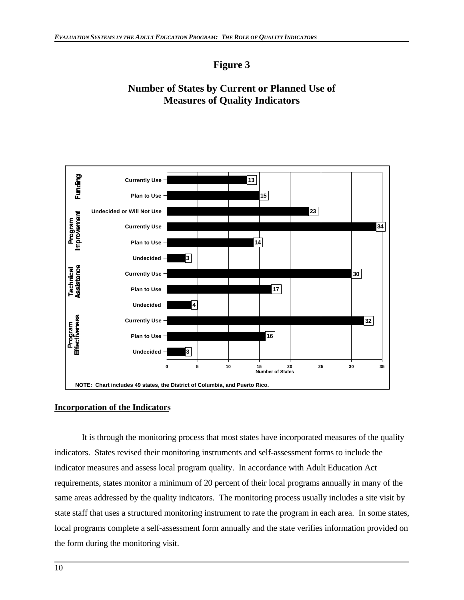# **Figure 3**

# **Number of States by Current or Planned Use of Measures of Quality Indicators**



## **Incorporation of the Indicators**

It is through the monitoring process that most states have incorporated measures of the quality indicators. States revised their monitoring instruments and self-assessment forms to include the indicator measures and assess local program quality. In accordance with Adult Education Act requirements, states monitor a minimum of 20 percent of their local programs annually in many of the same areas addressed by the quality indicators. The monitoring process usually includes a site visit by state staff that uses a structured monitoring instrument to rate the program in each area. In some states, local programs complete a self-assessment form annually and the state verifies information provided on the form during the monitoring visit.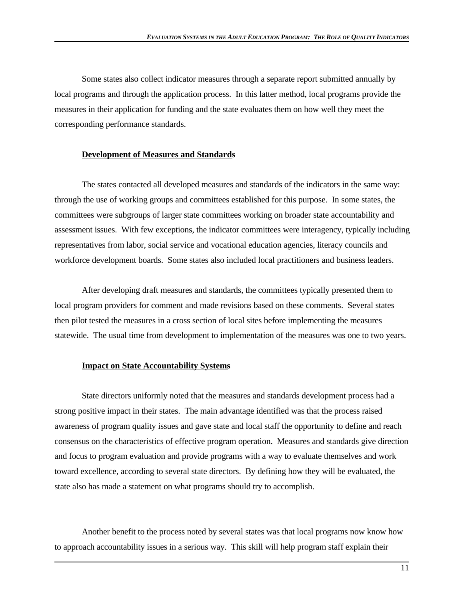Some states also collect indicator measures through a separate report submitted annually by local programs and through the application process. In this latter method, local programs provide the measures in their application for funding and the state evaluates them on how well they meet the corresponding performance standards.

## **Development of Measures and Standards**

The states contacted all developed measures and standards of the indicators in the same way: through the use of working groups and committees established for this purpose. In some states, the committees were subgroups of larger state committees working on broader state accountability and assessment issues. With few exceptions, the indicator committees were interagency, typically including representatives from labor, social service and vocational education agencies, literacy councils and workforce development boards. Some states also included local practitioners and business leaders.

After developing draft measures and standards, the committees typically presented them to local program providers for comment and made revisions based on these comments. Several states then pilot tested the measures in a cross section of local sites before implementing the measures statewide. The usual time from development to implementation of the measures was one to two years.

#### **Impact on State Accountability Systems**

State directors uniformly noted that the measures and standards development process had a strong positive impact in their states. The main advantage identified was that the process raised awareness of program quality issues and gave state and local staff the opportunity to define and reach consensus on the characteristics of effective program operation. Measures and standards give direction and focus to program evaluation and provide programs with a way to evaluate themselves and work toward excellence, according to several state directors. By defining how they will be evaluated, the state also has made a statement on what programs should try to accomplish.

Another benefit to the process noted by several states was that local programs now know how to approach accountability issues in a serious way. This skill will help program staff explain their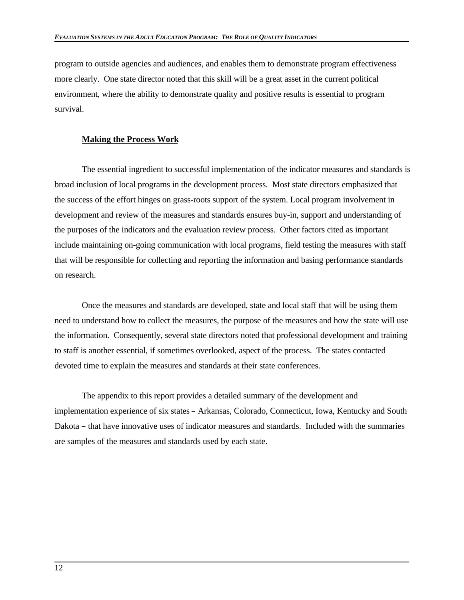program to outside agencies and audiences, and enables them to demonstrate program effectiveness more clearly. One state director noted that this skill will be a great asset in the current political environment, where the ability to demonstrate quality and positive results is essential to program survival.

## **Making the Process Work**

The essential ingredient to successful implementation of the indicator measures and standards is broad inclusion of local programs in the development process. Most state directors emphasized that the success of the effort hinges on grass-roots support of the system. Local program involvement in development and review of the measures and standards ensures buy-in, support and understanding of the purposes of the indicators and the evaluation review process. Other factors cited as important include maintaining on-going communication with local programs, field testing the measures with staff that will be responsible for collecting and reporting the information and basing performance standards on research.

Once the measures and standards are developed, state and local staff that will be using them need to understand how to collect the measures, the purpose of the measures and how the state will use the information. Consequently, several state directors noted that professional development and training to staff is another essential, if sometimes overlooked, aspect of the process. The states contacted devoted time to explain the measures and standards at their state conferences.

The appendix to this report provides a detailed summary of the development and implementation experience of six states - Arkansas, Colorado, Connecticut, Iowa, Kentucky and South Dakota – that have innovative uses of indicator measures and standards. Included with the summaries are samples of the measures and standards used by each state.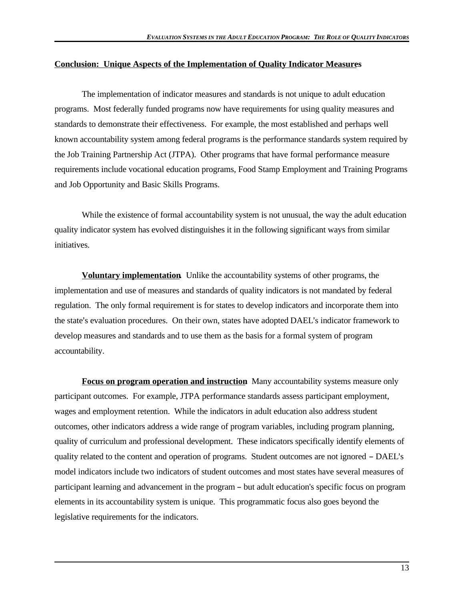## **Conclusion: Unique Aspects of the Implementation of Quality Indicator Measures**

The implementation of indicator measures and standards is not unique to adult education programs. Most federally funded programs now have requirements for using quality measures and standards to demonstrate their effectiveness. For example, the most established and perhaps well known accountability system among federal programs is the performance standards system required by the Job Training Partnership Act (JTPA). Other programs that have formal performance measure requirements include vocational education programs, Food Stamp Employment and Training Programs and Job Opportunity and Basic Skills Programs.

While the existence of formal accountability system is not unusual, the way the adult education quality indicator system has evolved distinguishes it in the following significant ways from similar initiatives.

**Voluntary implementation.** Unlike the accountability systems of other programs, the implementation and use of measures and standards of quality indicators is not mandated by federal regulation. The only formal requirement is for states to develop indicators and incorporate them into the state's evaluation procedures. On their own, states have adopted DAEL's indicator framework to develop measures and standards and to use them as the basis for a formal system of program accountability.

**Focus on program operation and instruction** Many accountability systems measure only participant outcomes. For example, JTPA performance standards assess participant employment, wages and employment retention. While the indicators in adult education also address student outcomes, other indicators address a wide range of program variables, including program planning, quality of curriculum and professional development. These indicators specifically identify elements of quality related to the content and operation of programs. Student outcomes are not ignored – DAEL's model indicators include two indicators of student outcomes and most states have several measures of participant learning and advancement in the program – but adult education's specific focus on program elements in its accountability system is unique. This programmatic focus also goes beyond the legislative requirements for the indicators.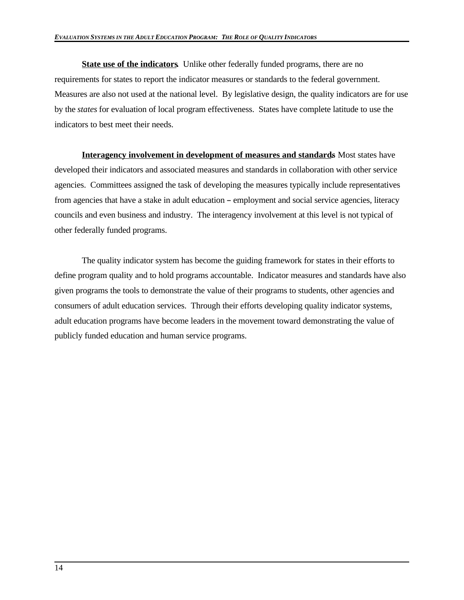**State use of the indicators.** Unlike other federally funded programs, there are no requirements for states to report the indicator measures or standards to the federal government. Measures are also not used at the national level. By legislative design, the quality indicators are for use by the *states* for evaluation of local program effectiveness. States have complete latitude to use the indicators to best meet their needs.

**Interagency involvement in development of measures and standards**. Most states have developed their indicators and associated measures and standards in collaboration with other service agencies. Committees assigned the task of developing the measures typically include representatives from agencies that have a stake in adult education – employment and social service agencies, literacy councils and even business and industry. The interagency involvement at this level is not typical of other federally funded programs.

The quality indicator system has become the guiding framework for states in their efforts to define program quality and to hold programs accountable. Indicator measures and standards have also given programs the tools to demonstrate the value of their programs to students, other agencies and consumers of adult education services. Through their efforts developing quality indicator systems, adult education programs have become leaders in the movement toward demonstrating the value of publicly funded education and human service programs.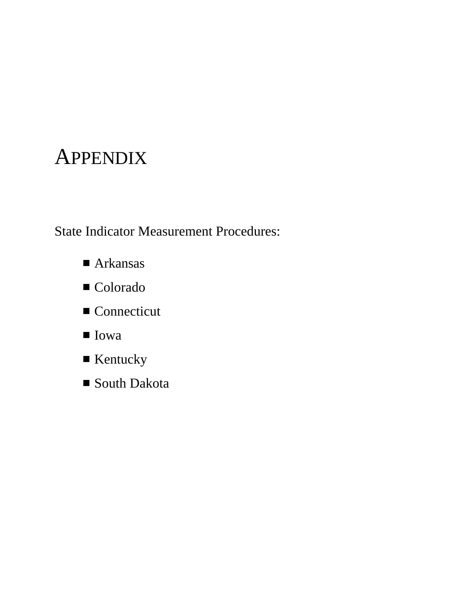# **APPENDIX**

State Indicator Measurement Procedures:

- $\blacksquare$  Arkansas
- Colorado
- $\blacksquare$  Connecticut
- $\blacksquare$  Iowa
- $\blacksquare$  Kentucky
- South Dakota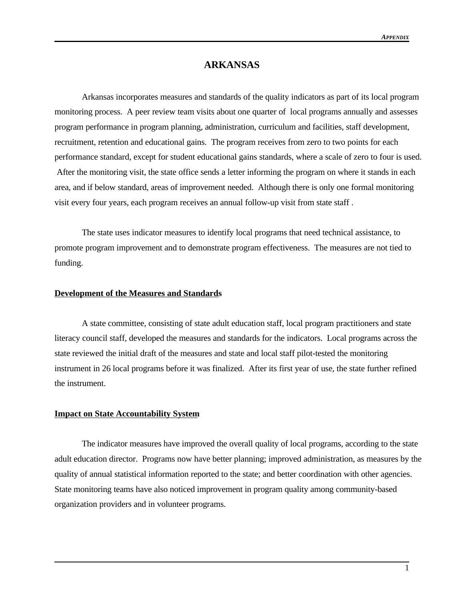## **ARKANSAS**

Arkansas incorporates measures and standards of the quality indicators as part of its local program monitoring process. A peer review team visits about one quarter of local programs annually and assesses program performance in program planning, administration, curriculum and facilities, staff development, recruitment, retention and educational gains. The program receives from zero to two points for each performance standard, except for student educational gains standards, where a scale of zero to four is used. After the monitoring visit, the state office sends a letter informing the program on where it stands in each area, and if below standard, areas of improvement needed. Although there is only one formal monitoring visit every four years, each program receives an annual follow-up visit from state staff .

The state uses indicator measures to identify local programs that need technical assistance, to promote program improvement and to demonstrate program effectiveness. The measures are not tied to funding.

#### **Development of the Measures and Standards**

A state committee, consisting of state adult education staff, local program practitioners and state literacy council staff, developed the measures and standards for the indicators. Local programs across the state reviewed the initial draft of the measures and state and local staff pilot-tested the monitoring instrument in 26 local programs before it was finalized. After its first year of use, the state further refined the instrument.

#### **Impact on State Accountability System**

The indicator measures have improved the overall quality of local programs, according to the state adult education director. Programs now have better planning; improved administration, as measures by the quality of annual statistical information reported to the state; and better coordination with other agencies. State monitoring teams have also noticed improvement in program quality among community-based organization providers and in volunteer programs.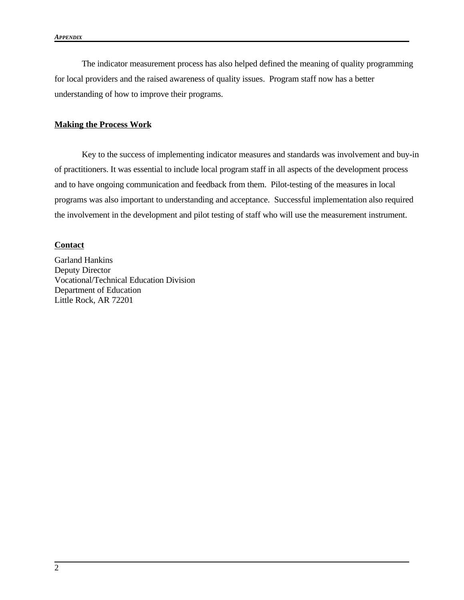The indicator measurement process has also helped defined the meaning of quality programming for local providers and the raised awareness of quality issues. Program staff now has a better understanding of how to improve their programs.

#### **Making the Process Work**

Key to the success of implementing indicator measures and standards was involvement and buy-in of practitioners. It was essential to include local program staff in all aspects of the development process and to have ongoing communication and feedback from them. Pilot-testing of the measures in local programs was also important to understanding and acceptance. Successful implementation also required the involvement in the development and pilot testing of staff who will use the measurement instrument.

#### **Contact**

Garland Hankins Deputy Director Vocational/Technical Education Division Department of Education Little Rock, AR 72201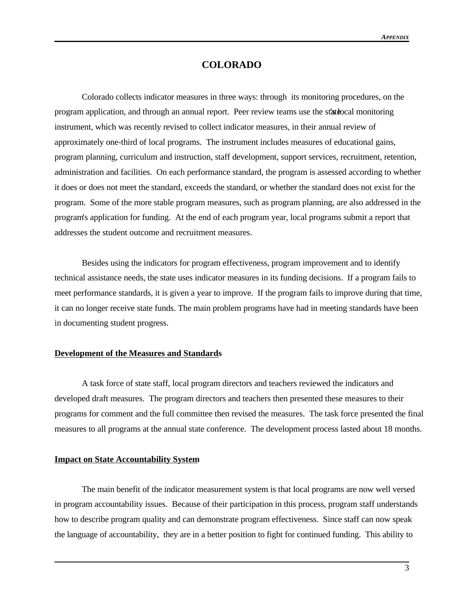## **COLORADO**

Colorado collects indicator measures in three ways: through its monitoring procedures, on the program application, and through an annual report. Peer review teams use the state of monitoring instrument, which was recently revised to collect indicator measures, in their annual review of approximately one-third of local programs. The instrument includes measures of educational gains, program planning, curriculum and instruction, staff development, support services, recruitment, retention, administration and facilities. On each performance standard, the program is assessed according to whether it does or does not meet the standard, exceeds the standard, or whether the standard does not exist for the program. Some of the more stable program measures, such as program planning, are also addressed in the program's application for funding. At the end of each program year, local programs submit a report that addresses the student outcome and recruitment measures.

Besides using the indicators for program effectiveness, program improvement and to identify technical assistance needs, the state uses indicator measures in its funding decisions. If a program fails to meet performance standards, it is given a year to improve. If the program fails to improve during that time, it can no longer receive state funds. The main problem programs have had in meeting standards have been in documenting student progress.

#### **Development of the Measures and Standards**

A task force of state staff, local program directors and teachers reviewed the indicators and developed draft measures. The program directors and teachers then presented these measures to their programs for comment and the full committee then revised the measures. The task force presented the final measures to all programs at the annual state conference. The development process lasted about 18 months.

#### **Impact on State Accountability System**

The main benefit of the indicator measurement system is that local programs are now well versed in program accountability issues. Because of their participation in this process, program staff understands how to describe program quality and can demonstrate program effectiveness. Since staff can now speak the language of accountability, they are in a better position to fight for continued funding. This ability to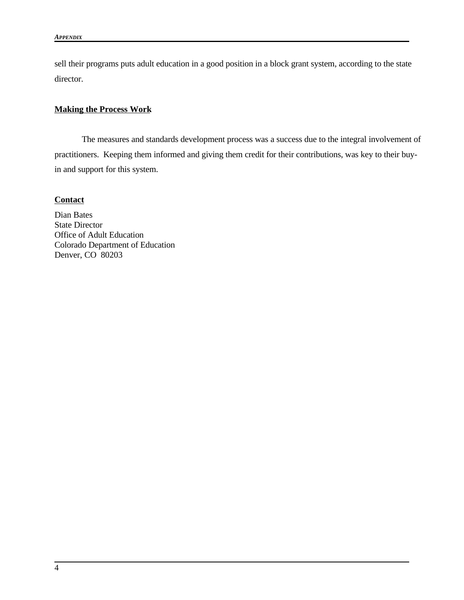sell their programs puts adult education in a good position in a block grant system, according to the state director.

## **Making the Process Work**

The measures and standards development process was a success due to the integral involvement of practitioners. Keeping them informed and giving them credit for their contributions, was key to their buyin and support for this system.

## **Contact**

Dian Bates State Director Office of Adult Education Colorado Department of Education Denver, CO 80203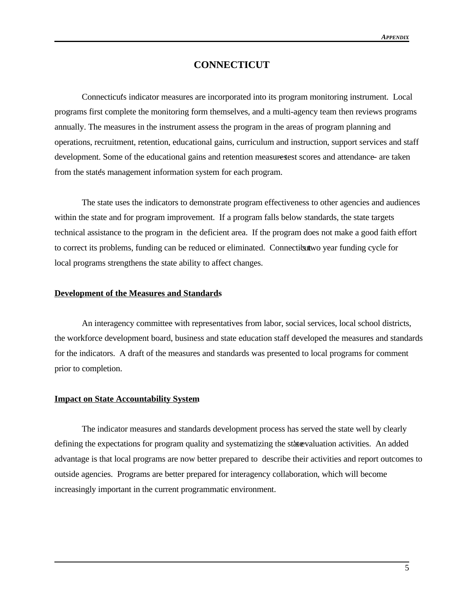## **CONNECTICUT**

Connecticuts indicator measures are incorporated into its program monitoring instrument. Local programs first complete the monitoring form themselves, and a multi-agency team then reviews programs annually. The measures in the instrument assess the program in the areas of program planning and operations, recruitment, retention, educational gains, curriculum and instruction, support services and staff development. Some of the educational gains and retention measures test scores and attendance are taken from the states management information system for each program.

The state uses the indicators to demonstrate program effectiveness to other agencies and audiences within the state and for program improvement. If a program falls below standards, the state targets technical assistance to the program in the deficient area. If the program does not make a good faith effort to correct its problems, funding can be reduced or eliminated. Connecticut wo year funding cycle for local programs strengthens the state ability to affect changes.

#### **Development of the Measures and Standards**

An interagency committee with representatives from labor, social services, local school districts, the workforce development board, business and state education staff developed the measures and standards for the indicators. A draft of the measures and standards was presented to local programs for comment prior to completion.

#### **Impact on State Accountability System**

The indicator measures and standards development process has served the state well by clearly defining the expectations for program quality and systematizing the state valuation activities. An added advantage is that local programs are now better prepared to describe their activities and report outcomes to outside agencies. Programs are better prepared for interagency collaboration, which will become increasingly important in the current programmatic environment.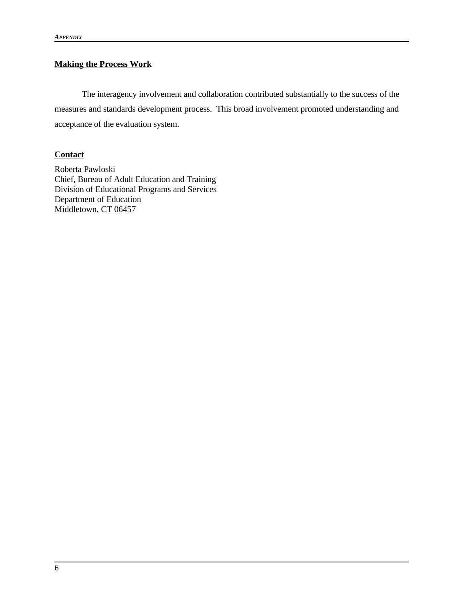## **Making the Process Work**

The interagency involvement and collaboration contributed substantially to the success of the measures and standards development process. This broad involvement promoted understanding and acceptance of the evaluation system.

## **Contact**

Roberta Pawloski Chief, Bureau of Adult Education and Training Division of Educational Programs and Services Department of Education Middletown, CT 06457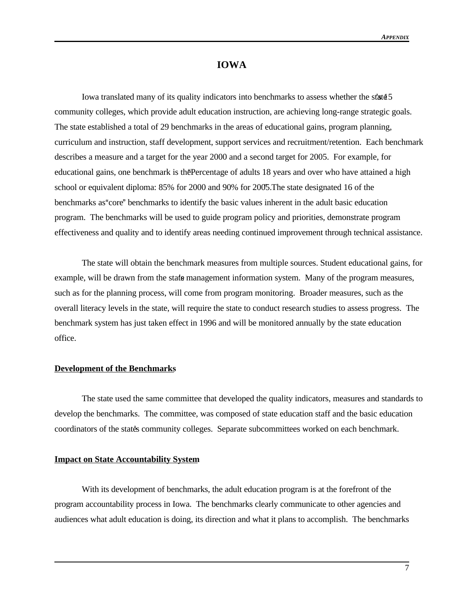## **IOWA**

Iowa translated many of its quality indicators into benchmarks to assess whether the state  $5$ community colleges, which provide adult education instruction, are achieving long-range strategic goals. The state established a total of 29 benchmarks in the areas of educational gains, program planning, curriculum and instruction, staff development, support services and recruitment/retention. Each benchmark describes a measure and a target for the year 2000 and a second target for 2005. For example, for educational gains, one benchmark is the Percentage of adults 18 years and over who have attained a high school or equivalent diploma: 85% for 2000 and 90% for 2005. The state designated 16 of the benchmarks as "core" benchmarks to identify the basic values inherent in the adult basic education program. The benchmarks will be used to guide program policy and priorities, demonstrate program effectiveness and quality and to identify areas needing continued improvement through technical assistance.

The state will obtain the benchmark measures from multiple sources. Student educational gains, for example, will be drawn from the state management information system. Many of the program measures, such as for the planning process, will come from program monitoring. Broader measures, such as the overall literacy levels in the state, will require the state to conduct research studies to assess progress. The benchmark system has just taken effect in 1996 and will be monitored annually by the state education office.

#### **Development of the Benchmarks**

The state used the same committee that developed the quality indicators, measures and standards to develop the benchmarks. The committee, was composed of state education staff and the basic education coordinators of the states community colleges. Separate subcommittees worked on each benchmark.

#### **Impact on State Accountability System**

With its development of benchmarks, the adult education program is at the forefront of the program accountability process in Iowa. The benchmarks clearly communicate to other agencies and audiences what adult education is doing, its direction and what it plans to accomplish. The benchmarks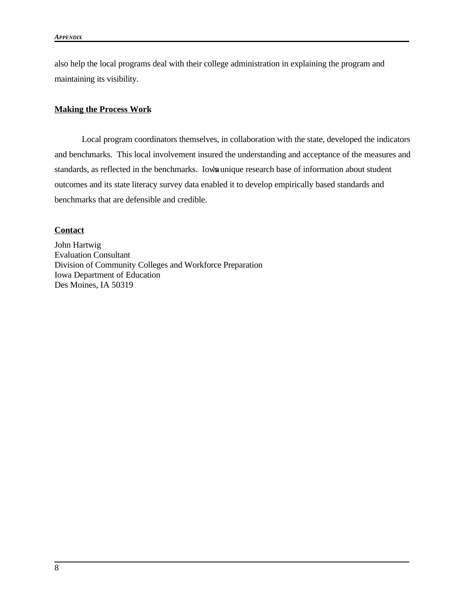also help the local programs deal with their college administration in explaining the program and maintaining its visibility.

## **Making the Process Work**

Local program coordinators themselves, in collaboration with the state, developed the indicators and benchmarks. This local involvement insured the understanding and acceptance of the measures and standards, as reflected in the benchmarks. Iowa unique research base of information about student outcomes and its state literacy survey data enabled it to develop empirically based standards and benchmarks that are defensible and credible.

## **Contact**

John Hartwig Evaluation Consultant Division of Community Colleges and Workforce Preparation Iowa Department of Education Des Moines, IA 50319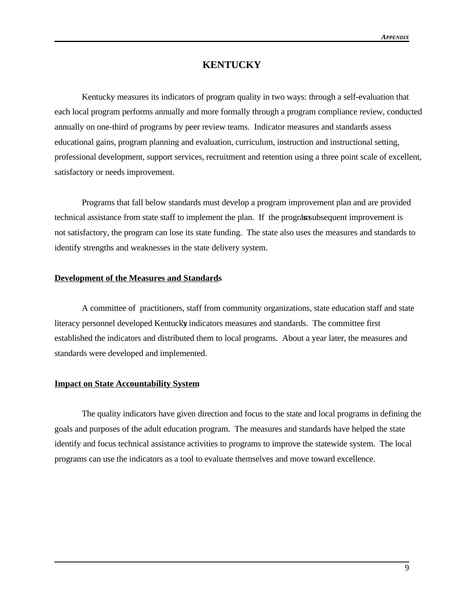## **KENTUCKY**

Kentucky measures its indicators of program quality in two ways: through a self-evaluation that each local program performs annually and more formally through a program compliance review, conducted annually on one-third of programs by peer review teams. Indicator measures and standards assess educational gains, program planning and evaluation, curriculum, instruction and instructional setting, professional development, support services, recruitment and retention using a three point scale of excellent, satisfactory or needs improvement.

Programs that fall below standards must develop a program improvement plan and are provided technical assistance from state staff to implement the plan. If the programs ubsequent improvement is not satisfactory, the program can lose its state funding. The state also uses the measures and standards to identify strengths and weaknesses in the state delivery system.

#### **Development of the Measures and Standards**

A committee of practitioners, staff from community organizations, state education staff and state literacy personnel developed Kentucky indicators measures and standards. The committee first established the indicators and distributed them to local programs. About a year later, the measures and standards were developed and implemented.

#### **Impact on State Accountability System**

The quality indicators have given direction and focus to the state and local programs in defining the goals and purposes of the adult education program. The measures and standards have helped the state identify and focus technical assistance activities to programs to improve the statewide system. The local programs can use the indicators as a tool to evaluate themselves and move toward excellence.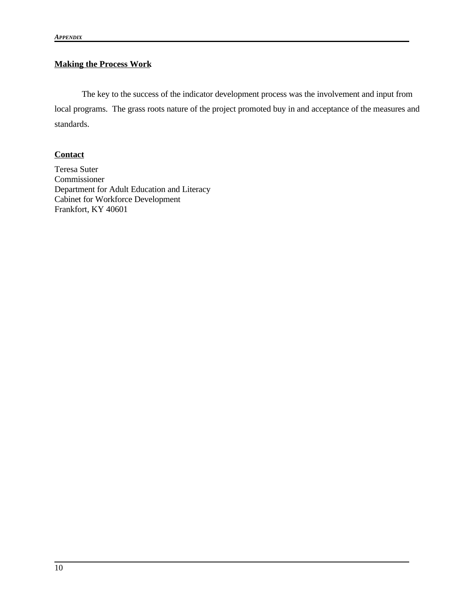# **Making the Process Work**

The key to the success of the indicator development process was the involvement and input from local programs. The grass roots nature of the project promoted buy in and acceptance of the measures and standards.

## **Contact**

Teresa Suter Commissioner Department for Adult Education and Literacy Cabinet for Workforce Development Frankfort, KY 40601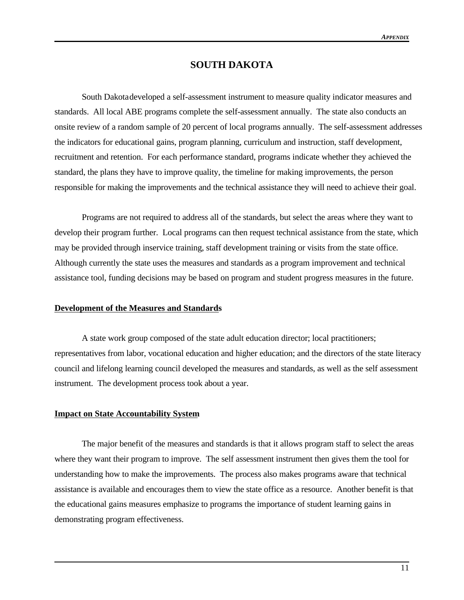## **SOUTH DAKOTA**

South Dakotadeveloped a self-assessment instrument to measure quality indicator measures and standards. All local ABE programs complete the self-assessment annually. The state also conducts an onsite review of a random sample of 20 percent of local programs annually. The self-assessment addresses the indicators for educational gains, program planning, curriculum and instruction, staff development, recruitment and retention. For each performance standard, programs indicate whether they achieved the standard, the plans they have to improve quality, the timeline for making improvements, the person responsible for making the improvements and the technical assistance they will need to achieve their goal.

Programs are not required to address all of the standards, but select the areas where they want to develop their program further. Local programs can then request technical assistance from the state, which may be provided through inservice training, staff development training or visits from the state office. Although currently the state uses the measures and standards as a program improvement and technical assistance tool, funding decisions may be based on program and student progress measures in the future.

#### **Development of the Measures and Standards**

A state work group composed of the state adult education director; local practitioners; representatives from labor, vocational education and higher education; and the directors of the state literacy council and lifelong learning council developed the measures and standards, as well as the self assessment instrument. The development process took about a year.

## **Impact on State Accountability System**

The major benefit of the measures and standards is that it allows program staff to select the areas where they want their program to improve. The self assessment instrument then gives them the tool for understanding how to make the improvements. The process also makes programs aware that technical assistance is available and encourages them to view the state office as a resource. Another benefit is that the educational gains measures emphasize to programs the importance of student learning gains in demonstrating program effectiveness.